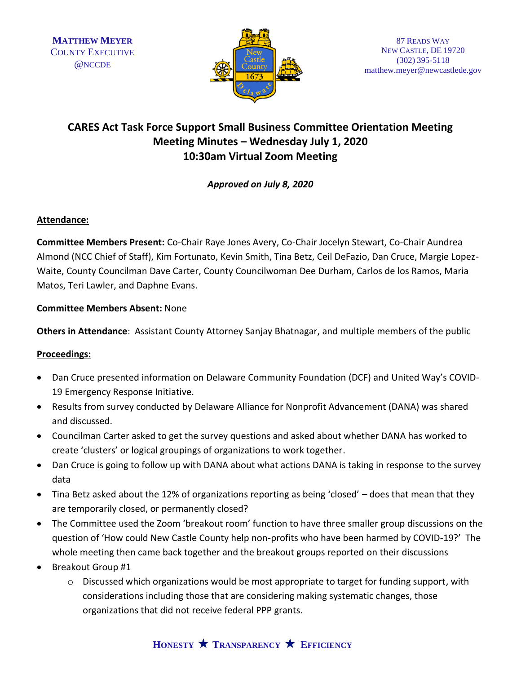

# **CARES Act Task Force Support Small Business Committee Orientation Meeting Meeting Minutes – Wednesday July 1, 2020 10:30am Virtual Zoom Meeting**

*Approved on July 8, 2020*

## **Attendance:**

**Committee Members Present:** Co-Chair Raye Jones Avery, Co-Chair Jocelyn Stewart, Co-Chair Aundrea Almond (NCC Chief of Staff), Kim Fortunato, Kevin Smith, Tina Betz, Ceil DeFazio, Dan Cruce, Margie Lopez-Waite, County Councilman Dave Carter, County Councilwoman Dee Durham, Carlos de los Ramos, Maria Matos, Teri Lawler, and Daphne Evans.

## **Committee Members Absent:** None

**Others in Attendance**: Assistant County Attorney Sanjay Bhatnagar, and multiple members of the public

## **Proceedings:**

- Dan Cruce presented information on Delaware Community Foundation (DCF) and United Way's COVID-19 Emergency Response Initiative.
- Results from survey conducted by Delaware Alliance for Nonprofit Advancement (DANA) was shared and discussed.
- Councilman Carter asked to get the survey questions and asked about whether DANA has worked to create 'clusters' or logical groupings of organizations to work together.
- Dan Cruce is going to follow up with DANA about what actions DANA is taking in response to the survey data
- Tina Betz asked about the 12% of organizations reporting as being 'closed' does that mean that they are temporarily closed, or permanently closed?
- The Committee used the Zoom 'breakout room' function to have three smaller group discussions on the question of 'How could New Castle County help non-profits who have been harmed by COVID-19?' The whole meeting then came back together and the breakout groups reported on their discussions
- Breakout Group #1
	- $\circ$  Discussed which organizations would be most appropriate to target for funding support, with considerations including those that are considering making systematic changes, those organizations that did not receive federal PPP grants.

# **HONESTY TRANSPARENCY EFFICIENCY**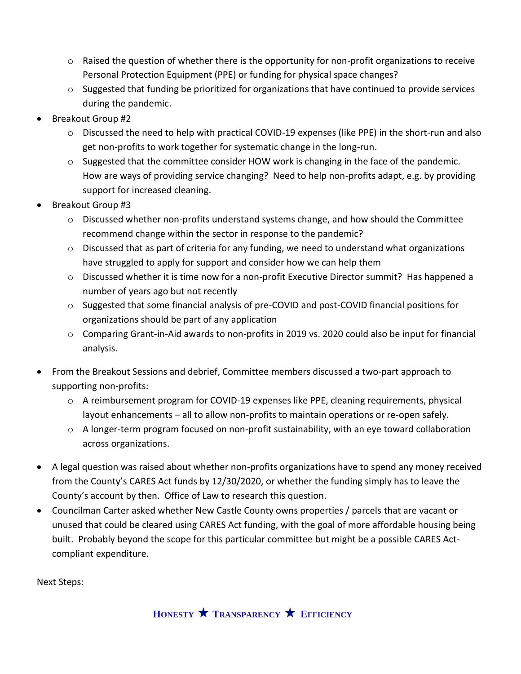- o Raised the question of whether there is the opportunity for non-profit organizations to receive Personal Protection Equipment (PPE) or funding for physical space changes?
- $\circ$  Suggested that funding be prioritized for organizations that have continued to provide services during the pandemic.
- Breakout Group #2
	- o Discussed the need to help with practical COVID-19 expenses (like PPE) in the short-run and also get non-profits to work together for systematic change in the long-run.
	- $\circ$  Suggested that the committee consider HOW work is changing in the face of the pandemic. How are ways of providing service changing? Need to help non-profits adapt, e.g. by providing support for increased cleaning.
- Breakout Group #3
	- o Discussed whether non-profits understand systems change, and how should the Committee recommend change within the sector in response to the pandemic?
	- o Discussed that as part of criteria for any funding, we need to understand what organizations have struggled to apply for support and consider how we can help them
	- o Discussed whether it is time now for a non-profit Executive Director summit? Has happened a number of years ago but not recently
	- o Suggested that some financial analysis of pre-COVID and post-COVID financial positions for organizations should be part of any application
	- o Comparing Grant-in-Aid awards to non-profits in 2019 vs. 2020 could also be input for financial analysis.
- From the Breakout Sessions and debrief, Committee members discussed a two-part approach to supporting non-profits:
	- o A reimbursement program for COVID-19 expenses like PPE, cleaning requirements, physical layout enhancements – all to allow non-profits to maintain operations or re-open safely.
	- $\circ$  A longer-term program focused on non-profit sustainability, with an eye toward collaboration across organizations.
- A legal question was raised about whether non-profits organizations have to spend any money received from the County's CARES Act funds by 12/30/2020, or whether the funding simply has to leave the County's account by then. Office of Law to research this question.
- Councilman Carter asked whether New Castle County owns properties / parcels that are vacant or unused that could be cleared using CARES Act funding, with the goal of more affordable housing being built. Probably beyond the scope for this particular committee but might be a possible CARES Actcompliant expenditure.

Next Steps: